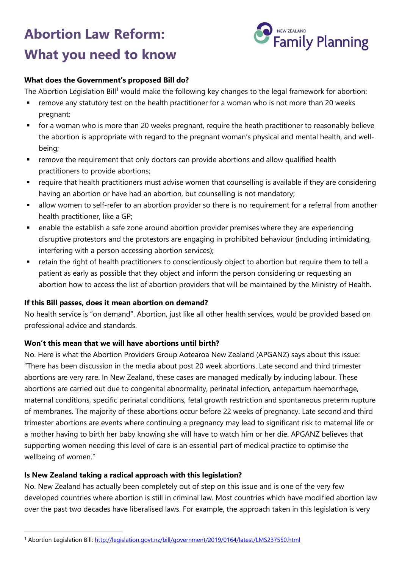# **Abortion Law Reform: What you need to know**



#### **What does the Government's proposed Bill do?**

The Abortion Legislation Bill<sup>1</sup> would make the following key changes to the legal framework for abortion:

- **F** remove any statutory test on the health practitioner for a woman who is not more than 20 weeks pregnant;
- for a woman who is more than 20 weeks pregnant, require the heath practitioner to reasonably believe the abortion is appropriate with regard to the pregnant woman's physical and mental health, and wellbeing;
- remove the requirement that only doctors can provide abortions and allow qualified health practitioners to provide abortions;
- require that health practitioners must advise women that counselling is available if they are considering having an abortion or have had an abortion, but counselling is not mandatory;
- allow women to self-refer to an abortion provider so there is no requirement for a referral from another health practitioner, like a GP;
- enable the establish a safe zone around abortion provider premises where they are experiencing disruptive protestors and the protestors are engaging in prohibited behaviour (including intimidating, interfering with a person accessing abortion services);
- retain the right of health practitioners to conscientiously object to abortion but require them to tell a patient as early as possible that they object and inform the person considering or requesting an abortion how to access the list of abortion providers that will be maintained by the Ministry of Health.

#### **If this Bill passes, does it mean abortion on demand?**

No health service is "on demand". Abortion, just like all other health services, would be provided based on professional advice and standards.

# **Won't this mean that we will have abortions until birth?**

No. Here is what the Abortion Providers Group Aotearoa New Zealand (APGANZ) says about this issue: "There has been discussion in the media about post 20 week abortions. Late second and third trimester abortions are very rare. In New Zealand, these cases are managed medically by inducing labour. These abortions are carried out due to congenital abnormality, perinatal infection, antepartum haemorrhage, maternal conditions, specific perinatal conditions, fetal growth restriction and spontaneous preterm rupture of membranes. The majority of these abortions occur before 22 weeks of pregnancy. Late second and third trimester abortions are events where continuing a pregnancy may lead to significant risk to maternal life or a mother having to birth her baby knowing she will have to watch him or her die. APGANZ believes that supporting women needing this level of care is an essential part of medical practice to optimise the wellbeing of women."

# **Is New Zealand taking a radical approach with this legislation?**

-

No. New Zealand has actually been completely out of step on this issue and is one of the very few developed countries where abortion is still in criminal law. Most countries which have modified abortion law over the past two decades have liberalised laws. For example, the approach taken in this legislation is very

<sup>1</sup> Abortion Legislation Bill:<http://legislation.govt.nz/bill/government/2019/0164/latest/LMS237550.html>